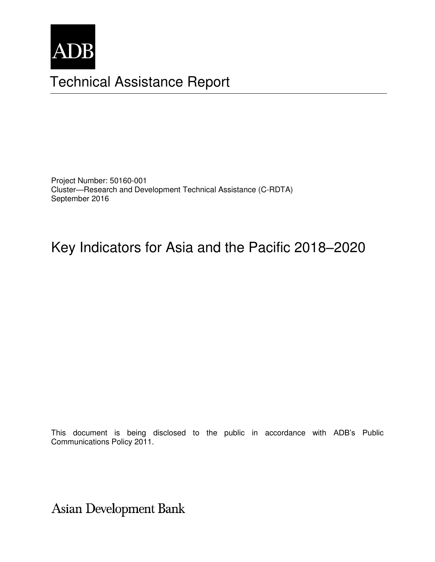

# Technical Assistance Report

Project Number: 50160-001 Cluster—Research and Development Technical Assistance (C-RDTA) September 2016

# Key Indicators for Asia and the Pacific 2018–2020

This document is being disclosed to the public in accordance with ADB's Public Communications Policy 2011.

**Asian Development Bank**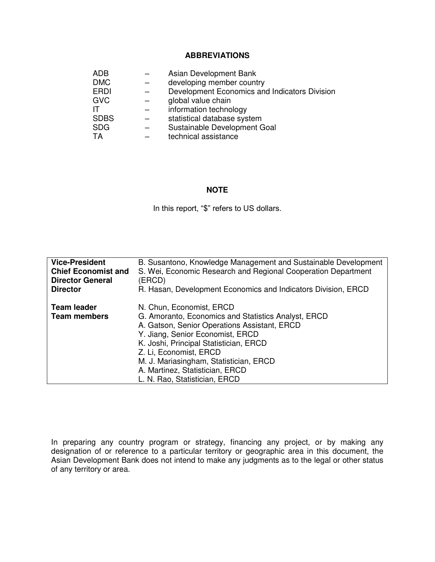#### **ABBREVIATIONS**

| ADB         | Asian Development Bank                        |
|-------------|-----------------------------------------------|
| <b>DMC</b>  | developing member country                     |
| <b>ERDI</b> | Development Economics and Indicators Division |
| <b>GVC</b>  | global value chain                            |
| IΤ          | information technology                        |
| <b>SDBS</b> | statistical database system                   |
| <b>SDG</b>  | Sustainable Development Goal                  |
| TA          | technical assistance                          |

#### **NOTE**

In this report, "\$" refers to US dollars.

| <b>Vice-President</b>                     | B. Susantono, Knowledge Management and Sustainable Development                                                                                                                                                                                                                                                                                        |
|-------------------------------------------|-------------------------------------------------------------------------------------------------------------------------------------------------------------------------------------------------------------------------------------------------------------------------------------------------------------------------------------------------------|
| <b>Chief Economist and</b>                | S. Wei, Economic Research and Regional Cooperation Department                                                                                                                                                                                                                                                                                         |
| <b>Director General</b>                   | (ERCD)                                                                                                                                                                                                                                                                                                                                                |
| <b>Director</b>                           | R. Hasan, Development Economics and Indicators Division, ERCD                                                                                                                                                                                                                                                                                         |
| <b>Team leader</b><br><b>Team members</b> | N. Chun, Economist, ERCD<br>G. Amoranto, Economics and Statistics Analyst, ERCD<br>A. Gatson, Senior Operations Assistant, ERCD<br>Y. Jiang, Senior Economist, ERCD<br>K. Joshi, Principal Statistician, ERCD<br>Z. Li, Economist, ERCD<br>M. J. Mariasingham, Statistician, ERCD<br>A. Martinez, Statistician, ERCD<br>L. N. Rao, Statistician, ERCD |

In preparing any country program or strategy, financing any project, or by making any designation of or reference to a particular territory or geographic area in this document, the Asian Development Bank does not intend to make any judgments as to the legal or other status of any territory or area.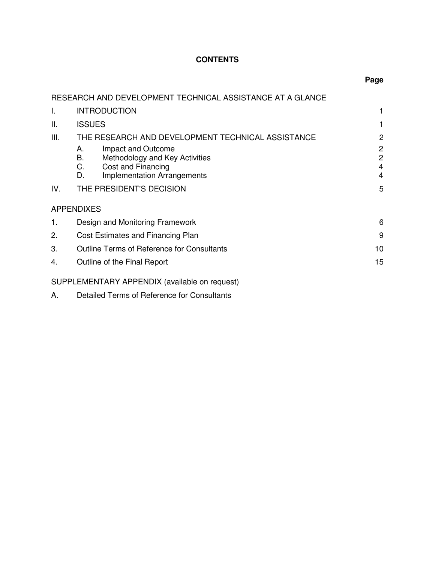# **CONTENTS**

|      | RESEARCH AND DEVELOPMENT TECHNICAL ASSISTANCE AT A GLANCE                                                                                |                                                         |
|------|------------------------------------------------------------------------------------------------------------------------------------------|---------------------------------------------------------|
| Ι.   | <b>INTRODUCTION</b>                                                                                                                      | 1                                                       |
| Ш.   | <b>ISSUES</b>                                                                                                                            | 1                                                       |
| III. | THE RESEARCH AND DEVELOPMENT TECHNICAL ASSISTANCE                                                                                        | $\overline{c}$                                          |
|      | Impact and Outcome<br>Α.<br>В.<br>Methodology and Key Activities<br>C.<br>Cost and Financing<br><b>Implementation Arrangements</b><br>D. | $\overline{c}$<br>$\overline{c}$<br>4<br>$\overline{4}$ |
| IV.  | THE PRESIDENT'S DECISION                                                                                                                 | 5                                                       |
|      | <b>APPENDIXES</b>                                                                                                                        |                                                         |
| 1.   | Design and Monitoring Framework                                                                                                          | 6                                                       |
| 2.   | Cost Estimates and Financing Plan                                                                                                        | 9                                                       |
| 3.   | <b>Outline Terms of Reference for Consultants</b>                                                                                        | 10                                                      |
| 4.   | Outline of the Final Report                                                                                                              | 15                                                      |
|      | SUPPLEMENTARY APPENDIX (available on request)                                                                                            |                                                         |
| А.   | Detailed Terms of Reference for Consultants                                                                                              |                                                         |

#### **Page**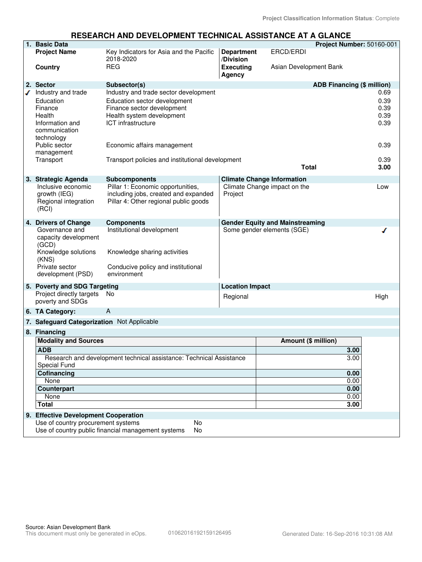#### **RESEARCH AND DEVELOPMENT TECHNICAL ASSISTANCE AT A GLANCE**

|                                                                                     | 1. Basic Data                                                                                                          |                                                                                                                                                        |                                |                                        | Project Number: 50160-001         |                                      |
|-------------------------------------------------------------------------------------|------------------------------------------------------------------------------------------------------------------------|--------------------------------------------------------------------------------------------------------------------------------------------------------|--------------------------------|----------------------------------------|-----------------------------------|--------------------------------------|
|                                                                                     | <b>Project Name</b>                                                                                                    | Key Indicators for Asia and the Pacific<br>2018-2020                                                                                                   | <b>Department</b><br>/Division | ERCD/ERDI                              |                                   |                                      |
|                                                                                     | Country                                                                                                                | <b>REG</b>                                                                                                                                             | <b>Executing</b><br>Agency     | Asian Development Bank                 |                                   |                                      |
|                                                                                     | 2. Sector                                                                                                              | Subsector(s)                                                                                                                                           |                                |                                        | <b>ADB Financing (\$ million)</b> |                                      |
|                                                                                     | Industry and trade<br>Education<br>Finance<br>Health<br>Information and<br>communication<br>technology                 | Industry and trade sector development<br>Education sector development<br>Finance sector development<br>Health system development<br>ICT infrastructure |                                |                                        |                                   | 0.69<br>0.39<br>0.39<br>0.39<br>0.39 |
|                                                                                     | Public sector<br>management                                                                                            | Economic affairs management                                                                                                                            |                                |                                        |                                   | 0.39                                 |
|                                                                                     | Transport                                                                                                              | Transport policies and institutional development                                                                                                       |                                |                                        |                                   | 0.39                                 |
|                                                                                     |                                                                                                                        |                                                                                                                                                        |                                | <b>Total</b>                           |                                   | 3.00                                 |
|                                                                                     | 3. Strategic Agenda                                                                                                    | <b>Subcomponents</b>                                                                                                                                   |                                | <b>Climate Change Information</b>      |                                   |                                      |
|                                                                                     | Inclusive economic<br>growth (IEG)<br>Regional integration<br>(RCI)                                                    | Pillar 1: Economic opportunities,<br>including jobs, created and expanded<br>Pillar 4: Other regional public goods                                     | Project                        | Climate Change impact on the           |                                   | Low                                  |
|                                                                                     | 4. Drivers of Change                                                                                                   | <b>Components</b>                                                                                                                                      |                                | <b>Gender Equity and Mainstreaming</b> |                                   |                                      |
|                                                                                     | Governance and<br>capacity development<br>(GCD)<br>Knowledge solutions<br>(KNS)<br>Private sector<br>development (PSD) | Institutional development<br>Knowledge sharing activities<br>Conducive policy and institutional<br>environment                                         |                                | Some gender elements (SGE)             |                                   |                                      |
|                                                                                     | 5. Poverty and SDG Targeting                                                                                           |                                                                                                                                                        | <b>Location Impact</b>         |                                        |                                   |                                      |
|                                                                                     | Project directly targets<br>poverty and SDGs                                                                           | No                                                                                                                                                     | Regional                       |                                        |                                   | High                                 |
|                                                                                     | 6. TA Category:                                                                                                        | A                                                                                                                                                      |                                |                                        |                                   |                                      |
|                                                                                     | 7. Safeguard Categorization Not Applicable                                                                             |                                                                                                                                                        |                                |                                        |                                   |                                      |
|                                                                                     | 8. Financing                                                                                                           |                                                                                                                                                        |                                |                                        |                                   |                                      |
|                                                                                     | <b>Modality and Sources</b>                                                                                            |                                                                                                                                                        |                                | Amount (\$ million)                    |                                   |                                      |
|                                                                                     | <b>ADB</b>                                                                                                             |                                                                                                                                                        |                                |                                        | 3.00                              |                                      |
| Research and development technical assistance: Technical Assistance<br>Special Fund |                                                                                                                        |                                                                                                                                                        |                                |                                        | 3.00                              |                                      |
|                                                                                     |                                                                                                                        |                                                                                                                                                        |                                |                                        |                                   |                                      |
|                                                                                     | Cofinancing<br>None                                                                                                    |                                                                                                                                                        |                                | 0.00<br>0.00                           |                                   |                                      |
|                                                                                     | <b>Counterpart</b>                                                                                                     |                                                                                                                                                        |                                |                                        | 0.00                              |                                      |
| 0.00<br>None                                                                        |                                                                                                                        |                                                                                                                                                        |                                |                                        |                                   |                                      |
|                                                                                     | <b>Total</b>                                                                                                           |                                                                                                                                                        |                                |                                        | 3.00                              |                                      |
|                                                                                     | 9. Effective Development Cooperation                                                                                   |                                                                                                                                                        |                                |                                        |                                   |                                      |
|                                                                                     | Use of country procurement systems<br>No                                                                               |                                                                                                                                                        |                                |                                        |                                   |                                      |
|                                                                                     |                                                                                                                        | Use of country public financial management systems<br>No                                                                                               |                                |                                        |                                   |                                      |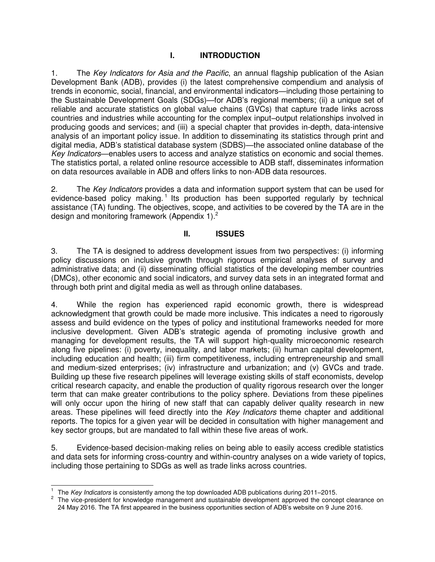## **I. INTRODUCTION**

1. The *Key Indicators for Asia and the Pacific*, an annual flagship publication of the Asian Development Bank (ADB), provides (i) the latest comprehensive compendium and analysis of trends in economic, social, financial, and environmental indicators—including those pertaining to the Sustainable Development Goals (SDGs)—for ADB's regional members; (ii) a unique set of reliable and accurate statistics on global value chains (GVCs) that capture trade links across countries and industries while accounting for the complex input–output relationships involved in producing goods and services; and (iii) a special chapter that provides in-depth, data-intensive analysis of an important policy issue. In addition to disseminating its statistics through print and digital media, ADB's statistical database system (SDBS)—the associated online database of the *Key Indicators*—enables users to access and analyze statistics on economic and social themes. The statistics portal, a related online resource accessible to ADB staff, disseminates information on data resources available in ADB and offers links to non-ADB data resources.

2. The *Key Indicators* provides a data and information support system that can be used for evidence-based policy making.<sup>1</sup> Its production has been supported regularly by technical assistance (TA) funding. The objectives, scope, and activities to be covered by the TA are in the design and monitoring framework (Appendix 1).<sup>2</sup>

### **II. ISSUES**

3. The TA is designed to address development issues from two perspectives: (i) informing policy discussions on inclusive growth through rigorous empirical analyses of survey and administrative data; and (ii) disseminating official statistics of the developing member countries (DMCs), other economic and social indicators, and survey data sets in an integrated format and through both print and digital media as well as through online databases.

4. While the region has experienced rapid economic growth, there is widespread acknowledgment that growth could be made more inclusive. This indicates a need to rigorously assess and build evidence on the types of policy and institutional frameworks needed for more inclusive development. Given ADB's strategic agenda of promoting inclusive growth and managing for development results, the TA will support high-quality microeconomic research along five pipelines: (i) poverty, inequality, and labor markets; (ii) human capital development, including education and health; (iii) firm competitiveness, including entrepreneurship and small and medium-sized enterprises; (iv) infrastructure and urbanization; and (v) GVCs and trade. Building up these five research pipelines will leverage existing skills of staff economists, develop critical research capacity, and enable the production of quality rigorous research over the longer term that can make greater contributions to the policy sphere. Deviations from these pipelines will only occur upon the hiring of new staff that can capably deliver quality research in new areas. These pipelines will feed directly into the *Key Indicators* theme chapter and additional reports. The topics for a given year will be decided in consultation with higher management and key sector groups, but are mandated to fall within these five areas of work.

5. Evidence-based decision-making relies on being able to easily access credible statistics and data sets for informing cross-country and within-country analyses on a wide variety of topics, including those pertaining to SDGs as well as trade links across countries.

 $\overline{a}$ 1 The *Key Indicators* is consistently among the top downloaded ADB publications during 2011–2015.

<sup>2</sup> The vice-president for knowledge management and sustainable development approved the concept clearance on 24 May 2016. The TA first appeared in the business opportunities section of ADB's website on 9 June 2016.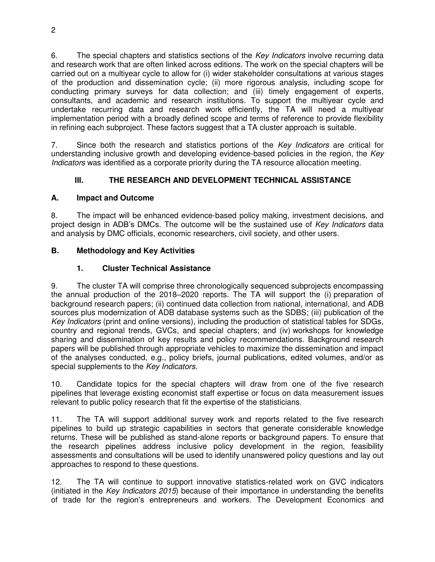6. The special chapters and statistics sections of the *Key Indicators* involve recurring data and research work that are often linked across editions. The work on the special chapters will be carried out on a multiyear cycle to allow for (i) wider stakeholder consultations at various stages of the production and dissemination cycle; (ii) more rigorous analysis, including scope for conducting primary surveys for data collection; and (iii) timely engagement of experts, consultants, and academic and research institutions. To support the multiyear cycle and undertake recurring data and research work efficiently, the TA will need a multiyear implementation period with a broadly defined scope and terms of reference to provide flexibility in refining each subproject. These factors suggest that a TA cluster approach is suitable.

7. Since both the research and statistics portions of the *Key Indicators* are critical for understanding inclusive growth and developing evidence-based policies in the region, the *Key Indicators* was identified as a corporate priority during the TA resource allocation meeting.

# **III. THE RESEARCH AND DEVELOPMENT TECHNICAL ASSISTANCE**

# **A. Impact and Outcome**

8. The impact will be enhanced evidence-based policy making, investment decisions, and project design in ADB's DMCs. The outcome will be the sustained use of *Key Indicators* data and analysis by DMC officials, economic researchers, civil society, and other users.

# **B. Methodology and Key Activities**

# **1. Cluster Technical Assistance**

9. The cluster TA will comprise three chronologically sequenced subprojects encompassing the annual production of the 2018–2020 reports. The TA will support the (i) preparation of background research papers; (ii) continued data collection from national, international, and ADB sources plus modernization of ADB database systems such as the SDBS; (iii) publication of the *Key Indicators* (print and online versions), including the production of statistical tables for SDGs, country and regional trends, GVCs, and special chapters; and (iv) workshops for knowledge sharing and dissemination of key results and policy recommendations. Background research papers will be published through appropriate vehicles to maximize the dissemination and impact of the analyses conducted, e.g., policy briefs, journal publications, edited volumes, and/or as special supplements to the *Key Indicators.*

10. Candidate topics for the special chapters will draw from one of the five research pipelines that leverage existing economist staff expertise or focus on data measurement issues relevant to public policy research that fit the expertise of the statisticians.

11. The TA will support additional survey work and reports related to the five research pipelines to build up strategic capabilities in sectors that generate considerable knowledge returns. These will be published as stand-alone reports or background papers. To ensure that the research pipelines address inclusive policy development in the region, feasibility assessments and consultations will be used to identify unanswered policy questions and lay out approaches to respond to these questions.

12. The TA will continue to support innovative statistics-related work on GVC indicators (initiated in the *Key Indicators 2015*) because of their importance in understanding the benefits of trade for the region's entrepreneurs and workers. The Development Economics and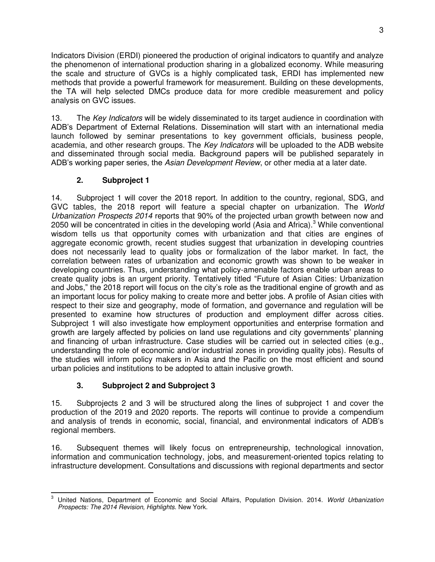Indicators Division (ERDI) pioneered the production of original indicators to quantify and analyze the phenomenon of international production sharing in a globalized economy. While measuring the scale and structure of GVCs is a highly complicated task, ERDI has implemented new methods that provide a powerful framework for measurement. Building on these developments, the TA will help selected DMCs produce data for more credible measurement and policy analysis on GVC issues.

13. The *Key Indicators* will be widely disseminated to its target audience in coordination with ADB's Department of External Relations. Dissemination will start with an international media launch followed by seminar presentations to key government officials, business people, academia, and other research groups. The *Key Indicators* will be uploaded to the ADB website and disseminated through social media. Background papers will be published separately in ADB's working paper series, the *Asian Development Review*, or other media at a later date.

# **2. Subproject 1**

14. Subproject 1 will cover the 2018 report. In addition to the country, regional, SDG, and GVC tables, the 2018 report will feature a special chapter on urbanization. The *World Urbanization Prospects 2014* reports that 90% of the projected urban growth between now and 2050 will be concentrated in cities in the developing world (Asia and Africa).<sup>3</sup> While conventional wisdom tells us that opportunity comes with urbanization and that cities are engines of aggregate economic growth, recent studies suggest that urbanization in developing countries does not necessarily lead to quality jobs or formalization of the labor market. In fact, the correlation between rates of urbanization and economic growth was shown to be weaker in developing countries. Thus, understanding what policy-amenable factors enable urban areas to create quality jobs is an urgent priority. Tentatively titled "Future of Asian Cities: Urbanization and Jobs," the 2018 report will focus on the city's role as the traditional engine of growth and as an important locus for policy making to create more and better jobs. A profile of Asian cities with respect to their size and geography, mode of formation, and governance and regulation will be presented to examine how structures of production and employment differ across cities. Subproject 1 will also investigate how employment opportunities and enterprise formation and growth are largely affected by policies on land use regulations and city governments' planning and financing of urban infrastructure. Case studies will be carried out in selected cities (e.g., understanding the role of economic and/or industrial zones in providing quality jobs). Results of the studies will inform policy makers in Asia and the Pacific on the most efficient and sound urban policies and institutions to be adopted to attain inclusive growth.

# **3. Subproject 2 and Subproject 3**

15. Subprojects 2 and 3 will be structured along the lines of subproject 1 and cover the production of the 2019 and 2020 reports. The reports will continue to provide a compendium and analysis of trends in economic, social, financial, and environmental indicators of ADB's regional members.

16. Subsequent themes will likely focus on entrepreneurship, technological innovation, information and communication technology, jobs, and measurement-oriented topics relating to infrastructure development. Consultations and discussions with regional departments and sector

<sup>-&</sup>lt;br>3 United Nations, Department of Economic and Social Affairs, Population Division. 2014. *World Urbanization Prospects: The 2014 Revision, Highlights.* New York.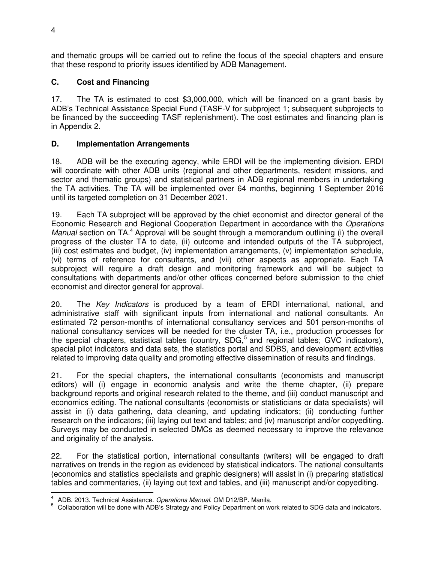and thematic groups will be carried out to refine the focus of the special chapters and ensure that these respond to priority issues identified by ADB Management.

# **C. Cost and Financing**

17. The TA is estimated to cost \$3,000,000, which will be financed on a grant basis by ADB's Technical Assistance Special Fund (TASF-V for subproject 1; subsequent subprojects to be financed by the succeeding TASF replenishment). The cost estimates and financing plan is in Appendix 2.

## **D. Implementation Arrangements**

18. ADB will be the executing agency, while ERDI will be the implementing division. ERDI will coordinate with other ADB units (regional and other departments, resident missions, and sector and thematic groups) and statistical partners in ADB regional members in undertaking the TA activities. The TA will be implemented over 64 months, beginning 1 September 2016 until its targeted completion on 31 December 2021.

19. Each TA subproject will be approved by the chief economist and director general of the Economic Research and Regional Cooperation Department in accordance with the *Operations*  Manual section on TA.<sup>4</sup> Approval will be sought through a memorandum outlining (i) the overall progress of the cluster TA to date, (ii) outcome and intended outputs of the TA subproject, (iii) cost estimates and budget, (iv) implementation arrangements, (v) implementation schedule, (vi) terms of reference for consultants, and (vii) other aspects as appropriate. Each TA subproject will require a draft design and monitoring framework and will be subject to consultations with departments and/or other offices concerned before submission to the chief economist and director general for approval.

20. The *Key Indicators* is produced by a team of ERDI international, national, and administrative staff with significant inputs from international and national consultants. An estimated 72 person-months of international consultancy services and 501 person-months of national consultancy services will be needed for the cluster TA, i.e., production processes for the special chapters, statistical tables (country, SDG,<sup>5</sup> and regional tables; GVC indicators), special pilot indicators and data sets, the statistics portal and SDBS, and development activities related to improving data quality and promoting effective dissemination of results and findings.

21. For the special chapters, the international consultants (economists and manuscript editors) will (i) engage in economic analysis and write the theme chapter, (ii) prepare background reports and original research related to the theme, and (iii) conduct manuscript and economics editing. The national consultants (economists or statisticians or data specialists) will assist in (i) data gathering, data cleaning, and updating indicators; (ii) conducting further research on the indicators; (iii) laying out text and tables; and (iv) manuscript and/or copyediting. Surveys may be conducted in selected DMCs as deemed necessary to improve the relevance and originality of the analysis.

22. For the statistical portion, international consultants (writers) will be engaged to draft narratives on trends in the region as evidenced by statistical indicators. The national consultants (economics and statistics specialists and graphic designers) will assist in (i) preparing statistical tables and commentaries, (ii) laying out text and tables, and (iii) manuscript and/or copyediting.

 4 ADB. 2013. Technical Assistance. *Operations Manual.* OM D12/BP. Manila.

<sup>5</sup> Collaboration will be done with ADB's Strategy and Policy Department on work related to SDG data and indicators.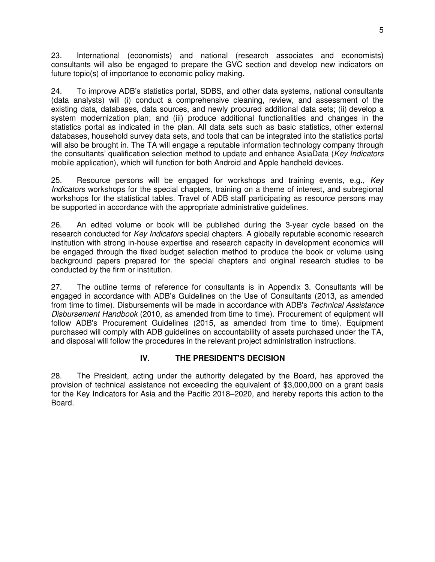23. International (economists) and national (research associates and economists) consultants will also be engaged to prepare the GVC section and develop new indicators on future topic(s) of importance to economic policy making.

24. To improve ADB's statistics portal, SDBS, and other data systems, national consultants (data analysts) will (i) conduct a comprehensive cleaning, review, and assessment of the existing data, databases, data sources, and newly procured additional data sets; (ii) develop a system modernization plan; and (iii) produce additional functionalities and changes in the statistics portal as indicated in the plan. All data sets such as basic statistics, other external databases, household survey data sets, and tools that can be integrated into the statistics portal will also be brought in. The TA will engage a reputable information technology company through the consultants' qualification selection method to update and enhance AsiaData (*Key Indicators* mobile application), which will function for both Android and Apple handheld devices.

25. Resource persons will be engaged for workshops and training events, e.g., *Key Indicators* workshops for the special chapters, training on a theme of interest, and subregional workshops for the statistical tables. Travel of ADB staff participating as resource persons may be supported in accordance with the appropriate administrative guidelines.

26. An edited volume or book will be published during the 3-year cycle based on the research conducted for *Key Indicators* special chapters. A globally reputable economic research institution with strong in-house expertise and research capacity in development economics will be engaged through the fixed budget selection method to produce the book or volume using background papers prepared for the special chapters and original research studies to be conducted by the firm or institution.

27. The outline terms of reference for consultants is in Appendix 3. Consultants will be engaged in accordance with ADB's Guidelines on the Use of Consultants (2013, as amended from time to time). Disbursements will be made in accordance with ADB's *Technical Assistance Disbursement Handbook* (2010, as amended from time to time). Procurement of equipment will follow ADB's Procurement Guidelines (2015, as amended from time to time). Equipment purchased will comply with ADB guidelines on accountability of assets purchased under the TA, and disposal will follow the procedures in the relevant project administration instructions.

# **IV. THE PRESIDENT'S DECISION**

28. The President, acting under the authority delegated by the Board, has approved the provision of technical assistance not exceeding the equivalent of \$3,000,000 on a grant basis for the Key Indicators for Asia and the Pacific 2018–2020, and hereby reports this action to the Board.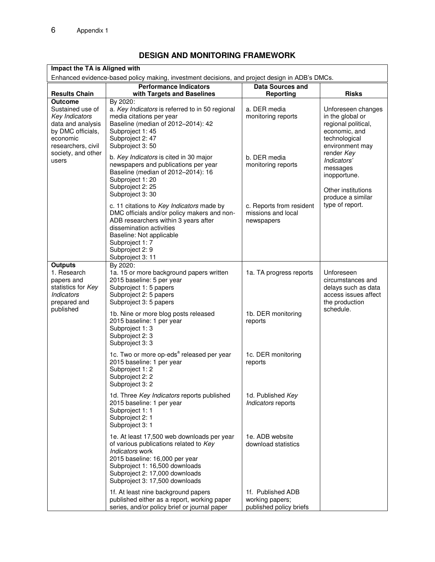# **DESIGN AND MONITORING FRAMEWORK**

| Impact the TA is Aligned with                                                                                                                              |                                                                                                                                                                                                                                                        |                                                                 |                                                                                                                    |  |  |
|------------------------------------------------------------------------------------------------------------------------------------------------------------|--------------------------------------------------------------------------------------------------------------------------------------------------------------------------------------------------------------------------------------------------------|-----------------------------------------------------------------|--------------------------------------------------------------------------------------------------------------------|--|--|
| Enhanced evidence-based policy making, investment decisions, and project design in ADB's DMCs.<br><b>Performance Indicators</b><br><b>Data Sources and</b> |                                                                                                                                                                                                                                                        |                                                                 |                                                                                                                    |  |  |
| <b>Results Chain</b>                                                                                                                                       | with Targets and Baselines                                                                                                                                                                                                                             | Reporting                                                       | <b>Risks</b>                                                                                                       |  |  |
| <b>Outcome</b><br>Sustained use of<br>Key Indicators<br>data and analysis<br>by DMC officials,<br>economic<br>researchers, civil                           | By 2020:<br>a. Key Indicators is referred to in 50 regional<br>media citations per year<br>Baseline (median of 2012-2014): 42<br>Subproject 1: 45<br>Subproject 2: 47<br>Subproject 3:50                                                               | a. DER media<br>monitoring reports                              | Unforeseen changes<br>in the global or<br>regional political,<br>economic, and<br>technological<br>environment may |  |  |
| society, and other<br>users                                                                                                                                | b. Key Indicators is cited in 30 major<br>newspapers and publications per year<br>Baseline (median of 2012-2014): 16<br>Subproject 1: 20<br>Subproject 2: 25<br>Subproject 3: 30                                                                       | b. DER media<br>monitoring reports                              | render Key<br>Indicators'<br>messages<br>inopportune.<br>Other institutions<br>produce a similar                   |  |  |
|                                                                                                                                                            | c. 11 citations to Key Indicators made by<br>DMC officials and/or policy makers and non-<br>ADB researchers within 3 years after<br>dissemination activities<br>Baseline: Not applicable<br>Subproject 1: 7<br>Subproject 2: 9<br>Subproject 3: 11     | c. Reports from resident<br>missions and local<br>newspapers    | type of report.                                                                                                    |  |  |
| <b>Outputs</b><br>1. Research<br>papers and<br>statistics for Key<br>Indicators<br>prepared and                                                            | By 2020:<br>1a. 15 or more background papers written<br>2015 baseline: 5 per year<br>Subproject 1: 5 papers<br>Subproject 2: 5 papers<br>Subproject 3: 5 papers                                                                                        | 1a. TA progress reports                                         | Unforeseen<br>circumstances and<br>delays such as data<br>access issues affect<br>the production<br>schedule.      |  |  |
| published                                                                                                                                                  | 1b. Nine or more blog posts released<br>2015 baseline: 1 per year<br>Subproject 1: 3<br>Subproject 2: 3<br>Subproject 3: 3                                                                                                                             | 1b. DER monitoring<br>reports                                   |                                                                                                                    |  |  |
|                                                                                                                                                            | 1c. Two or more op-eds <sup>a</sup> released per year<br>2015 baseline: 1 per year<br>Subproject 1: 2<br>Subproject 2: 2<br>Subproject 3: 2                                                                                                            | 1c. DER monitoring<br>reports                                   |                                                                                                                    |  |  |
|                                                                                                                                                            | 1d. Three Key Indicators reports published<br>2015 baseline: 1 per year<br>Subproject 1: 1<br>Subproject 2: 1<br>Subproject 3: 1                                                                                                                       | 1d. Published Key<br>Indicators reports                         |                                                                                                                    |  |  |
|                                                                                                                                                            | 1e. At least 17,500 web downloads per year<br>of various publications related to Key<br><i>Indicators</i> work<br>2015 baseline: 16,000 per year<br>Subproject 1: 16,500 downloads<br>Subproject 2: 17,000 downloads<br>Subproject 3: 17,500 downloads | 1e. ADB website<br>download statistics                          |                                                                                                                    |  |  |
|                                                                                                                                                            | 1f. At least nine background papers<br>published either as a report, working paper<br>series, and/or policy brief or journal paper                                                                                                                     | 1f. Published ADB<br>working papers;<br>published policy briefs |                                                                                                                    |  |  |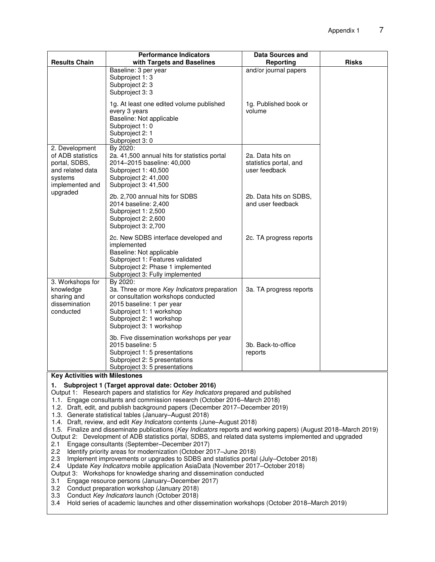|                                                                                                                                                                                                                                                                                                                                                                                                                                                                                                                                                                                                                                                                                                                                                                                                                                                                                                                                                                                                            | <b>Performance Indicators</b>                                                                                                                                                                                    | <b>Data Sources and</b>                                     |              |  |
|------------------------------------------------------------------------------------------------------------------------------------------------------------------------------------------------------------------------------------------------------------------------------------------------------------------------------------------------------------------------------------------------------------------------------------------------------------------------------------------------------------------------------------------------------------------------------------------------------------------------------------------------------------------------------------------------------------------------------------------------------------------------------------------------------------------------------------------------------------------------------------------------------------------------------------------------------------------------------------------------------------|------------------------------------------------------------------------------------------------------------------------------------------------------------------------------------------------------------------|-------------------------------------------------------------|--------------|--|
| <b>Results Chain</b>                                                                                                                                                                                                                                                                                                                                                                                                                                                                                                                                                                                                                                                                                                                                                                                                                                                                                                                                                                                       | with Targets and Baselines                                                                                                                                                                                       | Reporting                                                   | <b>Risks</b> |  |
|                                                                                                                                                                                                                                                                                                                                                                                                                                                                                                                                                                                                                                                                                                                                                                                                                                                                                                                                                                                                            | Baseline: 3 per year<br>Subproject 1: 3<br>Subproject 2: 3<br>Subproject 3: 3                                                                                                                                    | and/or journal papers                                       |              |  |
|                                                                                                                                                                                                                                                                                                                                                                                                                                                                                                                                                                                                                                                                                                                                                                                                                                                                                                                                                                                                            | 1g. At least one edited volume published<br>every 3 years<br>Baseline: Not applicable<br>Subproject 1: 0<br>Subproject 2: 1<br>Subproject 3:0                                                                    | 1g. Published book or<br>volume                             |              |  |
| 2. Development<br>of ADB statistics<br>portal, SDBS,<br>and related data<br>systems<br>implemented and                                                                                                                                                                                                                                                                                                                                                                                                                                                                                                                                                                                                                                                                                                                                                                                                                                                                                                     | By 2020:<br>2a. 41,500 annual hits for statistics portal<br>2014-2015 baseline: 40,000<br>Subproject 1: 40,500<br>Subproject 2: 41,000<br>Subproject 3: 41,500                                                   | 2a. Data hits on<br>statistics portal, and<br>user feedback |              |  |
| upgraded                                                                                                                                                                                                                                                                                                                                                                                                                                                                                                                                                                                                                                                                                                                                                                                                                                                                                                                                                                                                   | 2b. 2,700 annual hits for SDBS<br>2014 baseline: 2,400<br>Subproject 1: 2,500<br>Subproject 2: 2,600<br>Subproject 3: 2,700                                                                                      | 2b. Data hits on SDBS,<br>and user feedback                 |              |  |
|                                                                                                                                                                                                                                                                                                                                                                                                                                                                                                                                                                                                                                                                                                                                                                                                                                                                                                                                                                                                            | 2c. New SDBS interface developed and<br>implemented<br>Baseline: Not applicable<br>Subproject 1: Features validated<br>Subproject 2: Phase 1 implemented<br>Subproject 3: Fully implemented                      | 2c. TA progress reports                                     |              |  |
| 3. Workshops for<br>knowledge<br>sharing and<br>dissemination<br>conducted                                                                                                                                                                                                                                                                                                                                                                                                                                                                                                                                                                                                                                                                                                                                                                                                                                                                                                                                 | By 2020:<br>3a. Three or more Key Indicators preparation<br>or consultation workshops conducted<br>2015 baseline: 1 per year<br>Subproject 1: 1 workshop<br>Subproject 2: 1 workshop<br>Subproject 3: 1 workshop | 3a. TA progress reports                                     |              |  |
|                                                                                                                                                                                                                                                                                                                                                                                                                                                                                                                                                                                                                                                                                                                                                                                                                                                                                                                                                                                                            | 3b. Five dissemination workshops per year<br>2015 baseline: 5<br>Subproject 1: 5 presentations<br>Subproject 2: 5 presentations<br>Subproject 3: 5 presentations                                                 | 3b. Back-to-office<br>reports                               |              |  |
| <b>Key Activities with Milestones</b>                                                                                                                                                                                                                                                                                                                                                                                                                                                                                                                                                                                                                                                                                                                                                                                                                                                                                                                                                                      |                                                                                                                                                                                                                  |                                                             |              |  |
| Subproject 1 (Target approval date: October 2016)<br>1.<br>Output 1: Research papers and statistics for Key Indicators prepared and published<br>1.1. Engage consultants and commission research (October 2016–March 2018)<br>1.2. Draft, edit, and publish background papers (December 2017-December 2019)<br>1.3. Generate statistical tables (January–August 2018)<br>1.4. Draft, review, and edit Key Indicators contents (June–August 2018)<br>1.5. Finalize and disseminate publications (Key Indicators reports and working papers) (August 2018–March 2019)<br>Output 2: Development of ADB statistics portal, SDBS, and related data systems implemented and upgraded<br>2.1<br>Engage consultants (September-December 2017)<br>2.2<br>Identify priority areas for modernization (October 2017–June 2018)<br>2.3<br>Implement improvements or upgrades to SDBS and statistics portal (July–October 2018)<br>2.4<br>Update Key Indicators mobile application AsiaData (November 2017–October 2018) |                                                                                                                                                                                                                  |                                                             |              |  |
| Output 3: Workshops for knowledge sharing and dissemination conducted<br>Engage resource persons (January–December 2017)<br>3.1<br>3.2<br>Conduct preparation workshop (January 2018)<br>3.3<br>Conduct Key Indicators launch (October 2018)<br>Hold series of academic launches and other dissemination workshops (October 2018–March 2019)<br>3.4                                                                                                                                                                                                                                                                                                                                                                                                                                                                                                                                                                                                                                                        |                                                                                                                                                                                                                  |                                                             |              |  |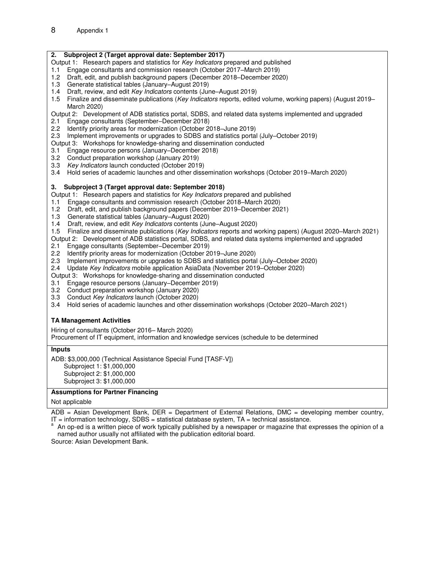#### **2. Subproject 2 (Target approval date: September 2017)**

- Output 1: Research papers and statistics for *Key Indicators* prepared and published
- 1.1 Engage consultants and commission research (October 2017–March 2019)
- 1.2 Draft, edit, and publish background papers (December 2018–December 2020)
- 1.3 Generate statistical tables (January–August 2019)
- 1.4 Draft, review, and edit *Key Indicators* contents (June–August 2019)
- 1.5 Finalize and disseminate publications (*Key Indicators* reports, edited volume, working papers) (August 2019– March 2020)
- Output 2: Development of ADB statistics portal, SDBS, and related data systems implemented and upgraded
- 2.1 Engage consultants (September–December 2018)
- 2.2 Identify priority areas for modernization (October 2018–June 2019)
- 2.3 Implement improvements or upgrades to SDBS and statistics portal (July–October 2019)
- Output 3: Workshops for knowledge-sharing and dissemination conducted
- 3.1 Engage resource persons (January–December 2018)
- 3.2 Conduct preparation workshop (January 2019)
- 3.3 *Key Indicators* launch conducted (October 2019)
- 3.4 Hold series of academic launches and other dissemination workshops (October 2019–March 2020)

#### **3. Subproject 3 (Target approval date: September 2018)**

- Output 1: Research papers and statistics for *Key Indicators* prepared and published
- 1.1 Engage consultants and commission research (October 2018–March 2020)
- 1.2 Draft, edit, and publish background papers (December 2019–December 2021)
- 1.3 Generate statistical tables (January–August 2020)
- 1.4 Draft, review, and edit *Key Indicators* contents (June–August 2020)
- 1.5 Finalize and disseminate publications (*Key Indicators* reports and working papers) (August 2020–March 2021)
- Output 2: Development of ADB statistics portal, SDBS, and related data systems implemented and upgraded
- 2.1 Engage consultants (September–December 2019)
- 2.2 Identify priority areas for modernization (October 2019–June 2020)
- 2.3 Implement improvements or upgrades to SDBS and statistics portal (July–October 2020)
- 2.4 Update *Key Indicators* mobile application AsiaData (November 2019–October 2020)

Output 3: Workshops for knowledge-sharing and dissemination conducted

- 3.1 Engage resource persons (January–December 2019)
- 3.2 Conduct preparation workshop (January 2020)
- 3.3 Conduct *Key Indicators* launch (October 2020)
- 3.4 Hold series of academic launches and other dissemination workshops (October 2020–March 2021)

#### **TA Management Activities**

Hiring of consultants (October 2016– March 2020) Procurement of IT equipment, information and knowledge services (schedule to be determined

#### **Inputs**

ADB: \$3,000,000 (Technical Assistance Special Fund [TASF-V])

 Subproject 1: \$1,000,000 Subproject 2: \$1,000,000

Subproject 3: \$1,000,000

#### **Assumptions for Partner Financing**

#### Not applicable

ADB = Asian Development Bank, DER = Department of External Relations, DMC = developing member country,  $IT =$  information technology, SDBS = statistical database system,  $TA =$  technical assistance.

<sup>a</sup> An op-ed is a written piece of work typically published by a newspaper or magazine that expresses the opinion of a named author usually not affiliated with the publication editorial board.

Source: Asian Development Bank.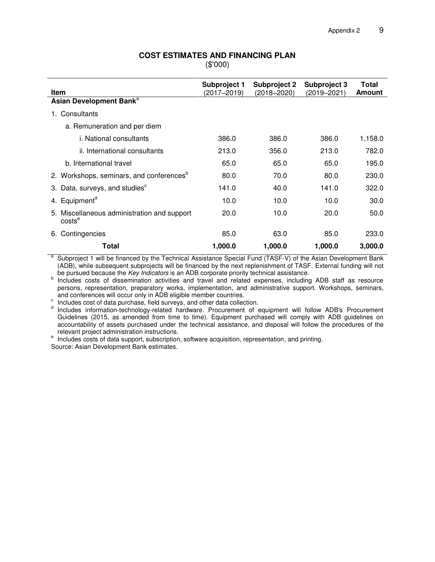#### **COST ESTIMATES AND FINANCING PLAN**

(\$'000)

| <b>Item</b>                                                       | Subproject 1<br>(2017–2019) | <b>Subproject 2</b><br>(2018–2020) | <b>Subproject 3</b><br>(2019–2021) | Total<br>Amount |
|-------------------------------------------------------------------|-----------------------------|------------------------------------|------------------------------------|-----------------|
| Asian Development Bank <sup>a</sup>                               |                             |                                    |                                    |                 |
| Consultants                                                       |                             |                                    |                                    |                 |
| a. Remuneration and per diem                                      |                             |                                    |                                    |                 |
| i. National consultants                                           | 386.0                       | 386.0                              | 386.0                              | 1,158.0         |
| ii. International consultants                                     | 213.0                       | 356.0                              | 213.0                              | 782.0           |
| b. International travel                                           | 65.0                        | 65.0                               | 65.0                               | 195.0           |
| 2. Workshops, seminars, and conferences <sup>b</sup>              | 80.0                        | 70.0                               | 80.0                               | 230.0           |
| 3. Data, surveys, and studies <sup>c</sup>                        | 141.0                       | 40.0                               | 141.0                              | 322.0           |
| 4. Equipment <sup>a</sup>                                         | 10.0                        | 10.0                               | 10.0                               | 30.0            |
| 5. Miscellaneous administration and support<br>costs <sup>e</sup> | 20.0                        | 10.0                               | 20.0                               | 50.0            |
| Contingencies<br>6.                                               | 85.0                        | 63.0                               | 85.0                               | 233.0           |
| Total                                                             | 1,000.0                     | 1,000.0                            | 1,000.0                            | 3,000.0         |

a Subproject 1 will be financed by the Technical Assistance Special Fund (TASF-V) of the Asian Development Bank (ADB), while subsequent subprojects will be financed by the next replenishment of TASF. External funding will not be pursued because the *Key Indicators* is an ADB corporate priority technical assistance.

<sup>b</sup> Includes costs of dissemination activities and travel and related expenses, including ADB staff as resource persons, representation, preparatory works, implementation, and administrative support. Workshops, seminars, and conferences will occur only in ADB eligible member countries.

 $\degree$  Includes cost of data purchase, field surveys, and other data collection.

d Includes information-technology-related hardware. Procurement of equipment will follow ADB's Procurement Guidelines (2015, as amended from time to time). Equipment purchased will comply with ADB guidelines on accountability of assets purchased under the technical assistance, and disposal will follow the procedures of the relevant project administration instructions.

<sup>e</sup> Includes costs of data support, subscription, software acquisition, representation, and printing.

Source: Asian Development Bank estimates.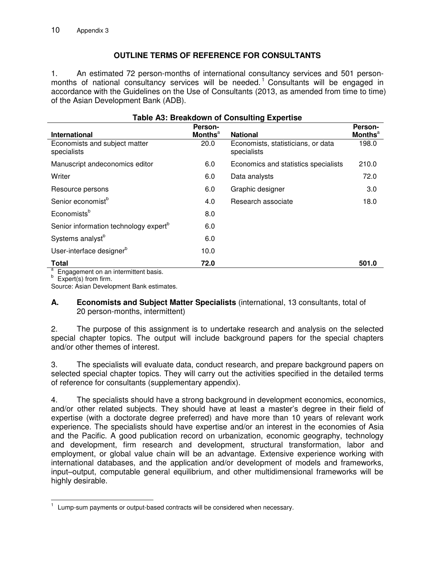# **OUTLINE TERMS OF REFERENCE FOR CONSULTANTS**

1. An estimated 72 person-months of international consultancy services and 501 personmonths of national consultancy services will be needed.<sup>1</sup> Consultants will be engaged in accordance with the Guidelines on the Use of Consultants (2013, as amended from time to time) of the Asian Development Bank (ADB).

| <b>Table A3: Breakdown of Consulting Expertise</b> |                            |                                                   |                           |  |  |
|----------------------------------------------------|----------------------------|---------------------------------------------------|---------------------------|--|--|
|                                                    | Person-                    |                                                   | Person-                   |  |  |
| <b>International</b>                               | <b>Months</b> <sup>a</sup> | <b>National</b>                                   | <b>Months<sup>a</sup></b> |  |  |
| Economists and subject matter<br>specialists       | 20.0                       | Economists, statisticians, or data<br>specialists | 198.0                     |  |  |
| Manuscript andeconomics editor                     | 6.0                        | Economics and statistics specialists              | 210.0                     |  |  |
| Writer                                             | 6.0                        | Data analysts                                     | 72.0                      |  |  |
| Resource persons                                   | 6.0                        | Graphic designer                                  | 3.0                       |  |  |
| Senior economist <sup>b</sup>                      | 4.0                        | Research associate                                | 18.0                      |  |  |
| Economists <sup>b</sup>                            | 8.0                        |                                                   |                           |  |  |
| Senior information technology expert <sup>b</sup>  | 6.0                        |                                                   |                           |  |  |
| Systems analyst <sup>b</sup>                       | 6.0                        |                                                   |                           |  |  |
| User-interface designer <sup>b</sup>               | 10.0                       |                                                   |                           |  |  |
| <b>Total</b>                                       | 72.0                       |                                                   | 501.0                     |  |  |

<sup>a</sup> Engagement on an intermittent basis.<br><sup>b</sup> Expert(s) from firm.

Source: Asian Development Bank estimates.

### **A. Economists and Subject Matter Specialists** (international, 13 consultants, total of 20 person-months, intermittent)

2. The purpose of this assignment is to undertake research and analysis on the selected special chapter topics. The output will include background papers for the special chapters and/or other themes of interest.

3. The specialists will evaluate data, conduct research, and prepare background papers on selected special chapter topics. They will carry out the activities specified in the detailed terms of reference for consultants (supplementary appendix).

4. The specialists should have a strong background in development economics, economics, and/or other related subjects. They should have at least a master's degree in their field of expertise (with a doctorate degree preferred) and have more than 10 years of relevant work experience. The specialists should have expertise and/or an interest in the economies of Asia and the Pacific. A good publication record on urbanization, economic geography, technology and development, firm research and development, structural transformation, labor and employment, or global value chain will be an advantage. Extensive experience working with international databases, and the application and/or development of models and frameworks, input–output, computable general equilibrium, and other multidimensional frameworks will be highly desirable.

 $\overline{a}$ 1 Lump-sum payments or output-based contracts will be considered when necessary.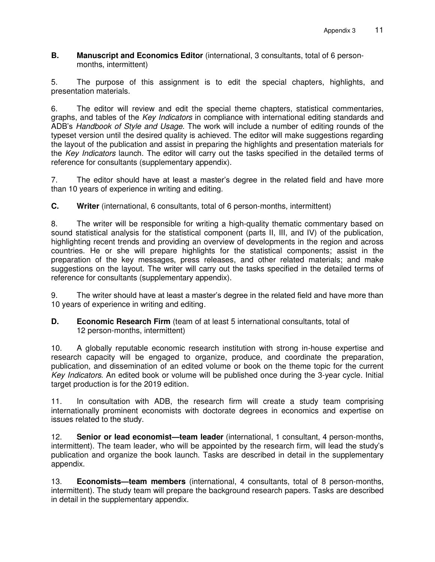**B. Manuscript and Economics Editor** (international, 3 consultants, total of 6 personmonths, intermittent)

5. The purpose of this assignment is to edit the special chapters, highlights, and presentation materials.

6. The editor will review and edit the special theme chapters, statistical commentaries, graphs, and tables of the *Key Indicators* in compliance with international editing standards and ADB's *Handbook of Style and Usage*. The work will include a number of editing rounds of the typeset version until the desired quality is achieved. The editor will make suggestions regarding the layout of the publication and assist in preparing the highlights and presentation materials for the *Key Indicators* launch. The editor will carry out the tasks specified in the detailed terms of reference for consultants (supplementary appendix).

7. The editor should have at least a master's degree in the related field and have more than 10 years of experience in writing and editing.

**C. Writer** (international, 6 consultants, total of 6 person-months, intermittent)

8. The writer will be responsible for writing a high-quality thematic commentary based on sound statistical analysis for the statistical component (parts II, III, and IV) of the publication, highlighting recent trends and providing an overview of developments in the region and across countries. He or she will prepare highlights for the statistical components; assist in the preparation of the key messages, press releases, and other related materials; and make suggestions on the layout. The writer will carry out the tasks specified in the detailed terms of reference for consultants (supplementary appendix).

9. The writer should have at least a master's degree in the related field and have more than 10 years of experience in writing and editing*.*

**D. Economic Research Firm** (team of at least 5 international consultants, total of 12 person-months, intermittent)

10. A globally reputable economic research institution with strong in-house expertise and research capacity will be engaged to organize, produce, and coordinate the preparation, publication, and dissemination of an edited volume or book on the theme topic for the current *Key Indicators*. An edited book or volume will be published once during the 3-year cycle. Initial target production is for the 2019 edition*.*

11. In consultation with ADB, the research firm will create a study team comprising internationally prominent economists with doctorate degrees in economics and expertise on issues related to the study.

12. **Senior or lead economist—team leader** (international, 1 consultant, 4 person-months, intermittent). The team leader, who will be appointed by the research firm, will lead the study's publication and organize the book launch. Tasks are described in detail in the supplementary appendix.

13. **Economists—team members** (international, 4 consultants, total of 8 person-months, intermittent). The study team will prepare the background research papers. Tasks are described in detail in the supplementary appendix.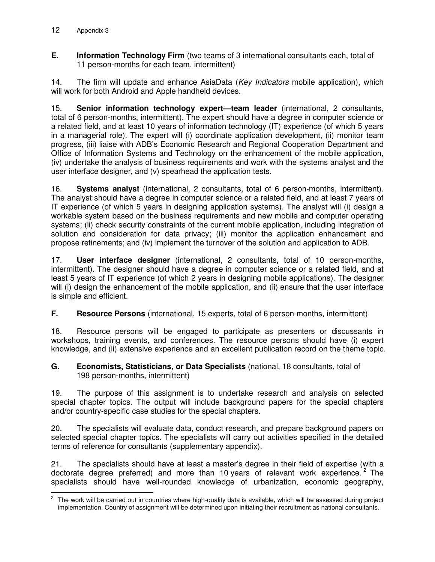**E. Information Technology Firm** (two teams of 3 international consultants each, total of 11 person-months for each team, intermittent)

14. The firm will update and enhance AsiaData (*Key Indicators* mobile application), which will work for both Android and Apple handheld devices.

15. **Senior information technology expert—team leader** (international, 2 consultants, total of 6 person-months, intermittent). The expert should have a degree in computer science or a related field, and at least 10 years of information technology (IT) experience (of which 5 years in a managerial role). The expert will (i) coordinate application development, (ii) monitor team progress, (iii) liaise with ADB's Economic Research and Regional Cooperation Department and Office of Information Systems and Technology on the enhancement of the mobile application, (iv) undertake the analysis of business requirements and work with the systems analyst and the user interface designer, and (v) spearhead the application tests.

16. **Systems analyst** (international, 2 consultants, total of 6 person-months, intermittent). The analyst should have a degree in computer science or a related field, and at least 7 years of IT experience (of which 5 years in designing application systems). The analyst will (i) design a workable system based on the business requirements and new mobile and computer operating systems; (ii) check security constraints of the current mobile application, including integration of solution and consideration for data privacy; (iii) monitor the application enhancement and propose refinements; and (iv) implement the turnover of the solution and application to ADB.

17. **User interface designer** (international, 2 consultants, total of 10 person-months, intermittent). The designer should have a degree in computer science or a related field, and at least 5 years of IT experience (of which 2 years in designing mobile applications). The designer will (i) design the enhancement of the mobile application, and (ii) ensure that the user interface is simple and efficient.

**F. Resource Persons** (international, 15 experts, total of 6 person-months, intermittent)

18. Resource persons will be engaged to participate as presenters or discussants in workshops, training events, and conferences. The resource persons should have (i) expert knowledge, and (ii) extensive experience and an excellent publication record on the theme topic.

### **G. Economists, Statisticians, or Data Specialists** (national, 18 consultants, total of 198 person-months, intermittent)

19. The purpose of this assignment is to undertake research and analysis on selected special chapter topics. The output will include background papers for the special chapters and/or country-specific case studies for the special chapters.

20. The specialists will evaluate data, conduct research, and prepare background papers on selected special chapter topics. The specialists will carry out activities specified in the detailed terms of reference for consultants (supplementary appendix).

21. The specialists should have at least a master's degree in their field of expertise (with a doctorate degree preferred) and more than 10 years of relevant work experience.  $2$  The specialists should have well-rounded knowledge of urbanization, economic geography,

**EXECTS**<br><sup>2</sup> The work will be carried out in countries where high-quality data is available, which will be assessed during project implementation. Country of assignment will be determined upon initiating their recruitment as national consultants.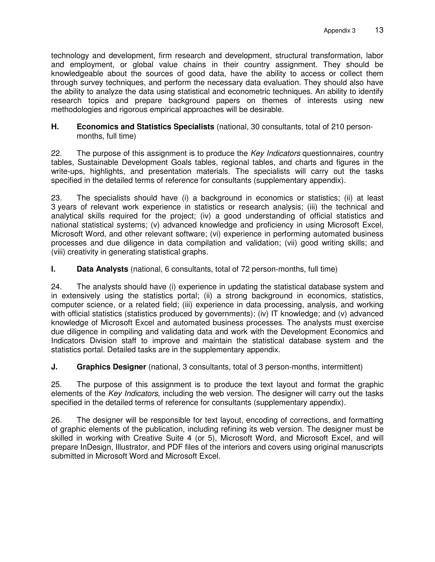technology and development, firm research and development, structural transformation, labor and employment, or global value chains in their country assignment. They should be knowledgeable about the sources of good data, have the ability to access or collect them through survey techniques, and perform the necessary data evaluation. They should also have the ability to analyze the data using statistical and econometric techniques. An ability to identify research topics and prepare background papers on themes of interests using new methodologies and rigorous empirical approaches will be desirable.

## **H. Economics and Statistics Specialists** (national, 30 consultants, total of 210 personmonths, full time)

22. The purpose of this assignment is to produce the *Key Indicators* questionnaires, country tables, Sustainable Development Goals tables, regional tables, and charts and figures in the write-ups, highlights, and presentation materials. The specialists will carry out the tasks specified in the detailed terms of reference for consultants (supplementary appendix).

23. The specialists should have (i) a background in economics or statistics; (ii) at least 3 years of relevant work experience in statistics or research analysis; (iii) the technical and analytical skills required for the project; (iv) a good understanding of official statistics and national statistical systems; (v) advanced knowledge and proficiency in using Microsoft Excel, Microsoft Word, and other relevant software; (vi) experience in performing automated business processes and due diligence in data compilation and validation; (vii) good writing skills; and (viii) creativity in generating statistical graphs.

# **I. Data Analysts** (national, 6 consultants, total of 72 person-months, full time)

24. The analysts should have (i) experience in updating the statistical database system and in extensively using the statistics portal; (ii) a strong background in economics, statistics, computer science, or a related field; (iii) experience in data processing, analysis, and working with official statistics (statistics produced by governments); (iv) IT knowledge; and (v) advanced knowledge of Microsoft Excel and automated business processes. The analysts must exercise due diligence in compiling and validating data and work with the Development Economics and Indicators Division staff to improve and maintain the statistical database system and the statistics portal. Detailed tasks are in the supplementary appendix.

**J.** Graphics Designer (national, 3 consultants, total of 3 person-months, intermittent)

25. The purpose of this assignment is to produce the text layout and format the graphic elements of the *Key Indicators*, including the web version. The designer will carry out the tasks specified in the detailed terms of reference for consultants (supplementary appendix).

26. The designer will be responsible for text layout, encoding of corrections, and formatting of graphic elements of the publication, including refining its web version. The designer must be skilled in working with Creative Suite 4 (or 5), Microsoft Word, and Microsoft Excel, and will prepare InDesign, Illustrator, and PDF files of the interiors and covers using original manuscripts submitted in Microsoft Word and Microsoft Excel.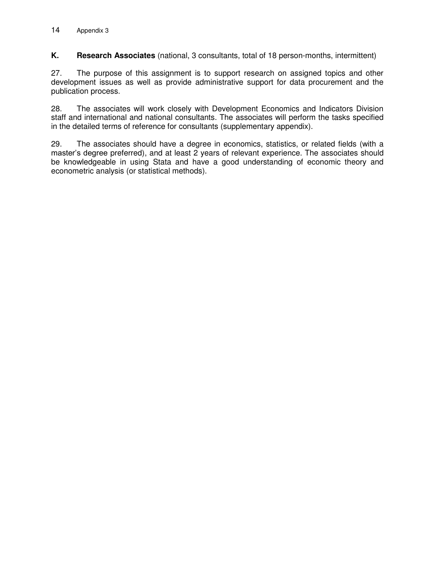**K. Research Associates** (national, 3 consultants, total of 18 person-months, intermittent)

27. The purpose of this assignment is to support research on assigned topics and other development issues as well as provide administrative support for data procurement and the publication process.

28. The associates will work closely with Development Economics and Indicators Division staff and international and national consultants. The associates will perform the tasks specified in the detailed terms of reference for consultants (supplementary appendix).

29. The associates should have a degree in economics, statistics, or related fields (with a master's degree preferred), and at least 2 years of relevant experience. The associates should be knowledgeable in using Stata and have a good understanding of economic theory and econometric analysis (or statistical methods).